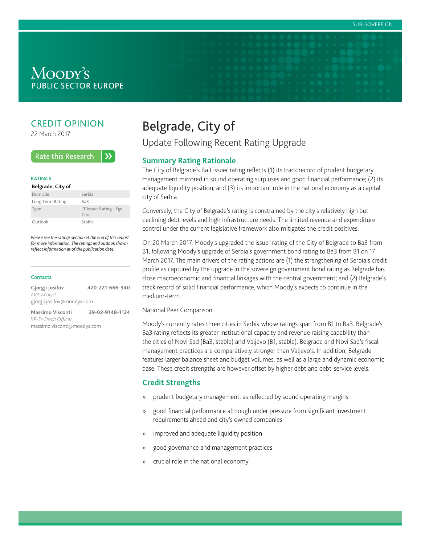# Moody's **PUBLIC SECTOR EUROPE**

# CREDIT OPINION

22 March 2017

#### **Rate this Research**  $\lambda$

#### **RATINGS**

#### **Belgrade, City of**

| Domicile         | Serbia                                           |
|------------------|--------------------------------------------------|
| Long Term Rating | Ba3                                              |
| Type             | LT Issuer Rating - Fgn<br>$C$ <sub>III</sub> $r$ |
| Outlook          | Stable                                           |

Please see the ratings section at the end of this report for more information. The ratings and outlook shown reflect information as of the publication date.

#### **Contacts**

| Gjorgji Josifov            | 420-221-666-340 |  |  |
|----------------------------|-----------------|--|--|
| AVP-Analyst                |                 |  |  |
| gjorgji.josifov@moodys.com |                 |  |  |
| <b>Massimo Visconti</b>    | 39-02-9148-1124 |  |  |

VP-Sr Credit Officer massimo.visconti@moodys.com

# Belgrade, City of

Update Following Recent Rating Upgrade

# **Summary Rating Rationale**

The City of Belgrade's Ba3 issuer rating reflects (1) its track record of prudent budgetary management mirrored in sound operating surpluses and good financial performance; (2) its adequate liquidity position; and (3) its important role in the national economy as a capital city of Serbia.

Conversely, the City of Belgrade's rating is constrained by the city's relatively high but declining debt levels and high infrastructure needs. The limited revenue and expenditure control under the current legislative framework also mitigates the credit positives.

On 20 March 2017, Moody's upgraded the issuer rating of the City of Belgrade to Ba3 from B1, following Moody's upgrade of Serbia's government bond rating to Ba3 from B1 on 17 March 2017. The main drivers of the rating actions are (1) the strengthening of Serbia's credit profile as captured by the upgrade in the sovereign government bond rating as Belgrade has close macroeconomic and financial linkages with the central government; and (2) Belgrade's track record of solid financial performance, which Moody's expects to continue in the medium-term.

National Peer Comparison

Moody's currently rates three cities in Serbia whose ratings span from B1 to Ba3. Belgrade's Ba3 rating reflects its greater institutional capacity and revenue raising capability than the cities of Novi Sad (Ba3, stable) and Valjevo (B1, stable). Belgrade and Novi Sad's fiscal management practices are comparatively stronger than Valjevo's. In addition, Belgrade features larger balance sheet and budget volumes, as well as a large and dynamic economic base. These credit strengths are however offset by higher debt and debt-service levels.

## **Credit Strengths**

- » prudent budgetary management, as reflected by sound operating margins
- » good financial performance although under pressure from significant investment requirements ahead and city's owned companies
- » improved and adequate liquidity position
- » good governance and management practices
- » crucial role in the national economy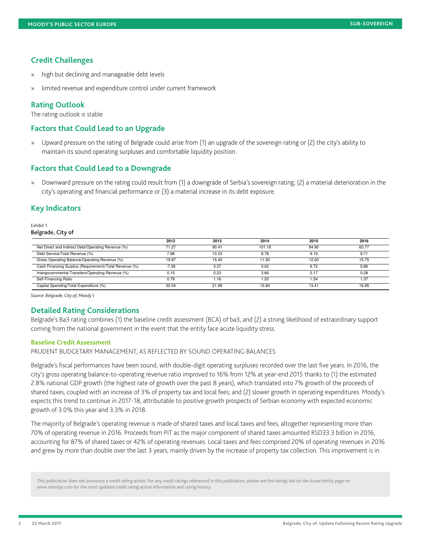## **Credit Challenges**

- » high but declining and manageable debt levels
- » limited revenue and expenditure control under current framework

## **Rating Outlook**

## **Factors that Could Lead to an Upgrade**

## **Factors that Could Lead to a Downgrade**

## **Key Indicators**

| 100DY'S PUBLIC SECTOR EUROPE<br><b>Credit Challenges</b><br>» high but declining and manageable debt levels<br>» limited revenue and expenditure control under current framework<br><b>Rating Outlook</b><br>The rating outlook is stable<br><b>Factors that Could Lead to an Upgrade</b>                                                                                                                                                                                                                                                                                                                                                                                                                                                                                                                                                                                                                                                                                                                                                                                                                                                                                    |                                                                                            |                                                           | SUB-SOVEREIGN                                                                                                                                                                                           |  |  |  |  |  |
|------------------------------------------------------------------------------------------------------------------------------------------------------------------------------------------------------------------------------------------------------------------------------------------------------------------------------------------------------------------------------------------------------------------------------------------------------------------------------------------------------------------------------------------------------------------------------------------------------------------------------------------------------------------------------------------------------------------------------------------------------------------------------------------------------------------------------------------------------------------------------------------------------------------------------------------------------------------------------------------------------------------------------------------------------------------------------------------------------------------------------------------------------------------------------|--------------------------------------------------------------------------------------------|-----------------------------------------------------------|---------------------------------------------------------------------------------------------------------------------------------------------------------------------------------------------------------|--|--|--|--|--|
| » Upward pressure on the rating of Belgrade could arise from (1) an upgrade of the sovereign rating or (2) the city's ability to<br>maintain its sound operating surpluses and comfortable liquidity position.<br><b>Factors that Could Lead to a Downgrade</b><br>» Downward pressure on the rating could result from (1) a downgrade of Serbia's sovereign rating; (2) a material deterioration in the city's operating and financial performance or (3) a material increase in its debt exposu<br><b>Key Indicators</b><br>Exhibit 1<br>Belgrade, City of<br>2013                                                                                                                                                                                                                                                                                                                                                                                                                                                                                                                                                                                                         | 2014                                                                                       | 2015                                                      |                                                                                                                                                                                                         |  |  |  |  |  |
| $\begin{array}{r} \hline 2012 \\ \hline 71.27 \end{array}$<br>Net Direct and Indirect Debt/Operating Revenue (%)<br>90.41<br>Debt Service/Total Revenue (%)<br>7.98<br>Gross Operating Balance/Operating Revenue (%)<br>Cash Financing Surplus (Requirement)/Total Revenue (%)<br>19.87<br>$-7.39$<br>Intergovernmental Transfers/Operating Revenue (%)<br>0.15<br>Self-Financing Ratio<br>0.79<br>1.16<br>Capital Spending/Total Expenditure (%)<br>32.04<br>21.99<br>Source: Belgrade, City of; Moody's<br><b>Detailed Rating Considerations</b><br>Belgrade's Ba3 rating combines (1) the baseline credit assessment (BCA) of ba3, and (2) a strong likelihood of extraordinary support coming from the national government in the event that the entity face acute liquidity str<br><b>Baseline Credit Assessment</b><br>PRUDENT BUDGETARY MANAGEMENT, AS REFLECTED BY SOUND OPERATING BALANCES                                                                                                                                                                                                                                                                          | 101.18<br>8.78<br>10.23<br>15.40<br>11.50<br>3.37<br>3.02<br>0.23<br>3.66<br>1.20<br>15.84 | 84.90<br>9.19<br>12.00<br>6.72<br>0.17<br>1.54<br>13.41   | $\begin{array}{c c}\n\hline\n2016 \\ \hline\n63.77\n\end{array}$<br>9.71<br>$\frac{15.75}{\sqrt{15.75}}$<br>5.86<br>0.28<br>1.37<br>$\begin{array}{c}\n \overbrace{\qquad \qquad }^{16.95} \end{array}$ |  |  |  |  |  |
| Belgrade's fiscal performances have been sound, with double-digit operating surpluses recorded over the last five years. In 2016, the<br>city's gross operating balance-to-operating revenue ratio improved to 16% from 12% at year-end 2015 thanks to (1) the estimated<br>2.8% national GDP growth (the highest rate of growth over the past 8 years), which translated<br>shared taxes, coupled with an increase of 3% of property tax and local fees; and (2) slower growth in operating expenditures. Moody's<br>expects this trend to continue in 2017-18, attributable to positive growth prospects of Serbian economy with expected economic<br>growth of 3.0% this year and 3.3% in 2018.<br>The majority of Belgrade's operating revenue is made of shared taxes and local taxes and fees, altogether representing more than<br>70% of operating revenue in 2016. Proceeds from PIT as the major component of shared taxes am<br>accounting for 87% of shared taxes or 42% of operating revenues. Local taxes and fees comprised 20% of operating revenues in 2016<br>and grew by more than double over the last 3 years, mainly driven by the increase of propert |                                                                                            |                                                           |                                                                                                                                                                                                         |  |  |  |  |  |
| This publication does not announce a credit rating action. For any credit ratings referenced in this publication, please see the ratings tab on the issuer/entity page on<br>www.moodys.com for the most updated credit rating ac<br>22 March 2017                                                                                                                                                                                                                                                                                                                                                                                                                                                                                                                                                                                                                                                                                                                                                                                                                                                                                                                           |                                                                                            | Belgrade, City of: Update Following Recent Rating Upgrade |                                                                                                                                                                                                         |  |  |  |  |  |
|                                                                                                                                                                                                                                                                                                                                                                                                                                                                                                                                                                                                                                                                                                                                                                                                                                                                                                                                                                                                                                                                                                                                                                              |                                                                                            |                                                           |                                                                                                                                                                                                         |  |  |  |  |  |
|                                                                                                                                                                                                                                                                                                                                                                                                                                                                                                                                                                                                                                                                                                                                                                                                                                                                                                                                                                                                                                                                                                                                                                              |                                                                                            |                                                           |                                                                                                                                                                                                         |  |  |  |  |  |
|                                                                                                                                                                                                                                                                                                                                                                                                                                                                                                                                                                                                                                                                                                                                                                                                                                                                                                                                                                                                                                                                                                                                                                              |                                                                                            |                                                           |                                                                                                                                                                                                         |  |  |  |  |  |

## **Detailed Rating Considerations**

#### **Baseline Credit Assessment**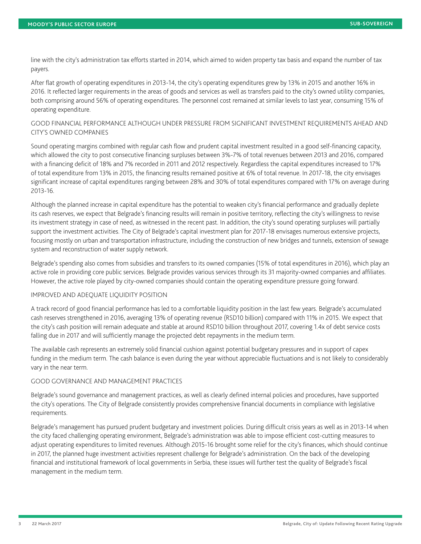line with the city's administration tax efforts started in 2014, which aimed to widen property tax basis and expand the number of tax payers.

After flat growth of operating expenditures in 2013-14, the city's operating expenditures grew by 13% in 2015 and another 16% in 2016. It reflected larger requirements in the areas of goods and services as well as transfers paid to the city's owned utility companies, both comprising around 56% of operating expenditures. The personnel cost remained at similar levels to last year, consuming 15% of operating expenditure.

## GOOD FINANCIAL PERFORMANCE ALTHOUGH UNDER PRESSURE FROM SIGNIFICANT INVESTMENT REQUIREMENTS AHEAD AND CITY'S OWNED COMPANIES

Sound operating margins combined with regular cash flow and prudent capital investment resulted in a good self-financing capacity, which allowed the city to post consecutive financing surpluses between 3%-7% of total revenues between 2013 and 2016, compared with a financing deficit of 18% and 7% recorded in 2011 and 2012 respectively. Regardless the capital expenditures increased to 17% of total expenditure from 13% in 2015, the financing results remained positive at 6% of total revenue. In 2017-18, the city envisages significant increase of capital expenditures ranging between 28% and 30% of total expenditures compared with 17% on average during 2013-16.

Although the planned increase in capital expenditure has the potential to weaken city's financial performance and gradually deplete its cash reserves, we expect that Belgrade's financing results will remain in positive territory, reflecting the city's willingness to revise its investment strategy in case of need, as witnessed in the recent past. In addition, the city's sound operating surpluses will partially support the investment activities. The City of Belgrade's capital investment plan for 2017-18 envisages numerous extensive projects, focusing mostly on urban and transportation infrastructure, including the construction of new bridges and tunnels, extension of sewage system and reconstruction of water supply network.

Belgrade's spending also comes from subsidies and transfers to its owned companies (15% of total expenditures in 2016), which play an active role in providing core public services. Belgrade provides various services through its 31 majority-owned companies and affiliates. However, the active role played by city-owned companies should contain the operating expenditure pressure going forward.

### IMPROVED AND ADEQUATE LIQUIDITY POSITION

A track record of good financial performance has led to a comfortable liquidity position in the last few years. Belgrade's accumulated cash reserves strengthened in 2016, averaging 13% of operating revenue (RSD10 billion) compared with 11% in 2015. We expect that the city's cash position will remain adequate and stable at around RSD10 billion throughout 2017, covering 1.4x of debt service costs falling due in 2017 and will sufficiently manage the projected debt repayments in the medium term.

The available cash represents an extremely solid financial cushion against potential budgetary pressures and in support of capex funding in the medium term. The cash balance is even during the year without appreciable fluctuations and is not likely to considerably vary in the near term.

## GOOD GOVERNANCE AND MANAGEMENT PRACTICES

Belgrade's sound governance and management practices, as well as clearly defined internal policies and procedures, have supported the city's operations. The City of Belgrade consistently provides comprehensive financial documents in compliance with legislative requirements.

Belgrade's management has pursued prudent budgetary and investment policies. During difficult crisis years as well as in 2013-14 when the city faced challenging operating environment, Belgrade's administration was able to impose efficient cost-cutting measures to adjust operating expenditures to limited revenues. Although 2015-16 brought some relief for the city's finances, which should continue in 2017, the planned huge investment activities represent challenge for Belgrade's administration. On the back of the developing financial and institutional framework of local governments in Serbia, these issues will further test the quality of Belgrade's fiscal management in the medium term.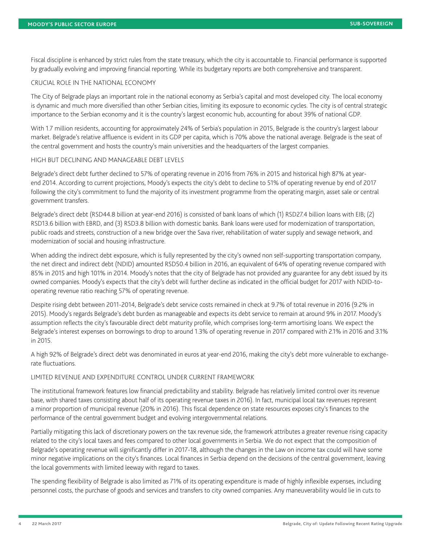Fiscal discipline is enhanced by strict rules from the state treasury, which the city is accountable to. Financial performance is supported by gradually evolving and improving financial reporting. While its budgetary reports are both comprehensive and transparent.

## CRUCIAL ROLE IN THE NATIONAL ECONOMY

The City of Belgrade plays an important role in the national economy as Serbia's capital and most developed city. The local economy is dynamic and much more diversified than other Serbian cities, limiting its exposure to economic cycles. The city is of central strategic importance to the Serbian economy and it is the country's largest economic hub, accounting for about 39% of national GDP.

With 1.7 million residents, accounting for approximately 24% of Serbia's population in 2015, Belgrade is the country's largest labour market. Belgrade's relative affluence is evident in its GDP per capita, which is 70% above the national average. Belgrade is the seat of the central government and hosts the country's main universities and the headquarters of the largest companies.

## HIGH BUT DECLINING AND MANAGEABLE DEBT LEVELS

Belgrade's direct debt further declined to 57% of operating revenue in 2016 from 76% in 2015 and historical high 87% at yearend 2014. According to current projections, Moody's expects the city's debt to decline to 51% of operating revenue by end of 2017 following the city's commitment to fund the majority of its investment programme from the operating margin, asset sale or central government transfers.

Belgrade's direct debt (RSD44.8 billion at year-end 2016) is consisted of bank loans of which (1) RSD27.4 billion loans with EIB; (2) RSD13.6 billion with EBRD, and (3) RSD3.8 billion with domestic banks. Bank loans were used for modernization of transportation, public roads and streets, construction of a new bridge over the Sava river, rehabilitation of water supply and sewage network, and modernization of social and housing infrastructure.

When adding the indirect debt exposure, which is fully represented by the city's owned non self-supporting transportation company, the net direct and indirect debt (NDID) amounted RSD50.4 billion in 2016, an equivalent of 64% of operating revenue compared with 85% in 2015 and high 101% in 2014. Moody's notes that the city of Belgrade has not provided any guarantee for any debt issued by its owned companies. Moody's expects that the city's debt will further decline as indicated in the official budget for 2017 with NDID-tooperating revenue ratio reaching 57% of operating revenue.

Despite rising debt between 2011-2014, Belgrade's debt service costs remained in check at 9.7% of total revenue in 2016 (9.2% in 2015). Moody's regards Belgrade's debt burden as manageable and expects its debt service to remain at around 9% in 2017. Moody's assumption reflects the city's favourable direct debt maturity profile, which comprises long-term amortising loans. We expect the Belgrade's interest expenses on borrowings to drop to around 1.3% of operating revenue in 2017 compared with 2.1% in 2016 and 3.1% in 2015.

A high 92% of Belgrade's direct debt was denominated in euros at year-end 2016, making the city's debt more vulnerable to exchangerate fluctuations.

### LIMITED REVENUE AND EXPENDITURE CONTROL UNDER CURRENT FRAMEWORK

The institutional framework features low financial predictability and stability. Belgrade has relatively limited control over its revenue base, with shared taxes consisting about half of its operating revenue taxes in 2016). In fact, municipal local tax revenues represent a minor proportion of municipal revenue (20% in 2016). This fiscal dependence on state resources exposes city's finances to the performance of the central government budget and evolving intergovernmental relations.

Partially mitigating this lack of discretionary powers on the tax revenue side, the framework attributes a greater revenue rising capacity related to the city's local taxes and fees compared to other local governments in Serbia. We do not expect that the composition of Belgrade's operating revenue will significantly differ in 2017-18, although the changes in the Law on income tax could will have some minor negative implications on the city's finances. Local finances in Serbia depend on the decisions of the central government, leaving the local governments with limited leeway with regard to taxes.

The spending flexibility of Belgrade is also limited as 71% of its operating expenditure is made of highly inflexible expenses, including personnel costs, the purchase of goods and services and transfers to city owned companies. Any maneuverability would lie in cuts to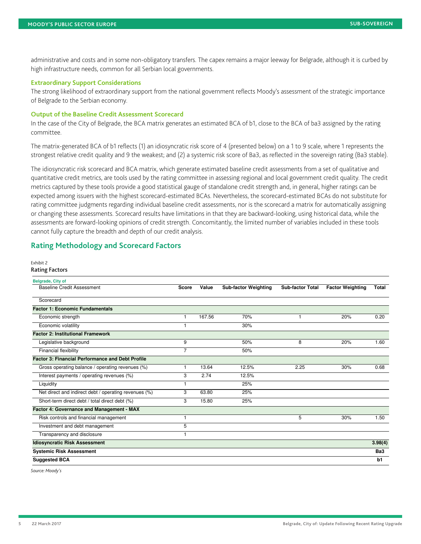#### **Extraordinary Support Considerations**

#### **Output of the Baseline Credit Assessment Scorecard**

## **Rating Methodology and Scorecard Factors**

#### Exhibit 2

#### Rating Factors

| SUB-SOVEREIGN<br>administrative and costs and in some non-obligatory transfers. The capex remains a major leeway for Belgrade, although it is curbed by<br>high infrastructure needs, common for all Serbian local governments.<br>committee.<br>The idiosyncratic risk scorecard and BCA matrix, which generate estimated baseline credit assessments from a set of qualitative and quantitative credit metrics, are tools used by the rating committee in assessing regional<br><b>Rating Methodology and Scorecard Factors</b><br><sub>Exhibit 2</sub><br><b>Rating Factors</b><br>Belgrade, City of<br>Baseline Credit Assessment<br>Score Value Sub-factor Weighting Sub-factor Total Factor Weighting Total<br>Scorecard<br>1 167.56<br>Economic strength<br>20%<br>70%<br>0.20<br>Economic volatility<br>30%<br>20% 1.60<br>Legislative background<br>50%<br>Financial flexibility<br>50%<br>0.68<br>30%<br>1 13.64<br>12.5%<br>2.25<br>Interest payments / operating revenues (%)<br>$3$ 2.74<br>12.5%<br>Liquidity<br>$\overline{1}$<br>25%<br>Net direct and indirect debt / operating revenues (%)<br>$3$ 63.80<br>25%<br>Short-term direct debt / total direct debt (%)<br>$3 \t 15.80$<br>25%<br>Risk controls and financial management<br>$30\%$<br>Investment and debt management<br>Transparency and disclosure<br>3.98(4)<br>$\overline{Ba3}$<br>$\overline{b1}$<br>Belgrade, City of: Update Following Recent Rating Upgrade |                                                                                                                                                                                                                                                                                                                                                                                                                                      |  |  |  |
|------------------------------------------------------------------------------------------------------------------------------------------------------------------------------------------------------------------------------------------------------------------------------------------------------------------------------------------------------------------------------------------------------------------------------------------------------------------------------------------------------------------------------------------------------------------------------------------------------------------------------------------------------------------------------------------------------------------------------------------------------------------------------------------------------------------------------------------------------------------------------------------------------------------------------------------------------------------------------------------------------------------------------------------------------------------------------------------------------------------------------------------------------------------------------------------------------------------------------------------------------------------------------------------------------------------------------------------------------------------------------------------------------------------------------------------------|--------------------------------------------------------------------------------------------------------------------------------------------------------------------------------------------------------------------------------------------------------------------------------------------------------------------------------------------------------------------------------------------------------------------------------------|--|--|--|
|                                                                                                                                                                                                                                                                                                                                                                                                                                                                                                                                                                                                                                                                                                                                                                                                                                                                                                                                                                                                                                                                                                                                                                                                                                                                                                                                                                                                                                                |                                                                                                                                                                                                                                                                                                                                                                                                                                      |  |  |  |
|                                                                                                                                                                                                                                                                                                                                                                                                                                                                                                                                                                                                                                                                                                                                                                                                                                                                                                                                                                                                                                                                                                                                                                                                                                                                                                                                                                                                                                                |                                                                                                                                                                                                                                                                                                                                                                                                                                      |  |  |  |
|                                                                                                                                                                                                                                                                                                                                                                                                                                                                                                                                                                                                                                                                                                                                                                                                                                                                                                                                                                                                                                                                                                                                                                                                                                                                                                                                                                                                                                                |                                                                                                                                                                                                                                                                                                                                                                                                                                      |  |  |  |
|                                                                                                                                                                                                                                                                                                                                                                                                                                                                                                                                                                                                                                                                                                                                                                                                                                                                                                                                                                                                                                                                                                                                                                                                                                                                                                                                                                                                                                                |                                                                                                                                                                                                                                                                                                                                                                                                                                      |  |  |  |
|                                                                                                                                                                                                                                                                                                                                                                                                                                                                                                                                                                                                                                                                                                                                                                                                                                                                                                                                                                                                                                                                                                                                                                                                                                                                                                                                                                                                                                                |                                                                                                                                                                                                                                                                                                                                                                                                                                      |  |  |  |
|                                                                                                                                                                                                                                                                                                                                                                                                                                                                                                                                                                                                                                                                                                                                                                                                                                                                                                                                                                                                                                                                                                                                                                                                                                                                                                                                                                                                                                                |                                                                                                                                                                                                                                                                                                                                                                                                                                      |  |  |  |
|                                                                                                                                                                                                                                                                                                                                                                                                                                                                                                                                                                                                                                                                                                                                                                                                                                                                                                                                                                                                                                                                                                                                                                                                                                                                                                                                                                                                                                                |                                                                                                                                                                                                                                                                                                                                                                                                                                      |  |  |  |
|                                                                                                                                                                                                                                                                                                                                                                                                                                                                                                                                                                                                                                                                                                                                                                                                                                                                                                                                                                                                                                                                                                                                                                                                                                                                                                                                                                                                                                                |                                                                                                                                                                                                                                                                                                                                                                                                                                      |  |  |  |
|                                                                                                                                                                                                                                                                                                                                                                                                                                                                                                                                                                                                                                                                                                                                                                                                                                                                                                                                                                                                                                                                                                                                                                                                                                                                                                                                                                                                                                                |                                                                                                                                                                                                                                                                                                                                                                                                                                      |  |  |  |
|                                                                                                                                                                                                                                                                                                                                                                                                                                                                                                                                                                                                                                                                                                                                                                                                                                                                                                                                                                                                                                                                                                                                                                                                                                                                                                                                                                                                                                                |                                                                                                                                                                                                                                                                                                                                                                                                                                      |  |  |  |
|                                                                                                                                                                                                                                                                                                                                                                                                                                                                                                                                                                                                                                                                                                                                                                                                                                                                                                                                                                                                                                                                                                                                                                                                                                                                                                                                                                                                                                                |                                                                                                                                                                                                                                                                                                                                                                                                                                      |  |  |  |
|                                                                                                                                                                                                                                                                                                                                                                                                                                                                                                                                                                                                                                                                                                                                                                                                                                                                                                                                                                                                                                                                                                                                                                                                                                                                                                                                                                                                                                                |                                                                                                                                                                                                                                                                                                                                                                                                                                      |  |  |  |
|                                                                                                                                                                                                                                                                                                                                                                                                                                                                                                                                                                                                                                                                                                                                                                                                                                                                                                                                                                                                                                                                                                                                                                                                                                                                                                                                                                                                                                                |                                                                                                                                                                                                                                                                                                                                                                                                                                      |  |  |  |
|                                                                                                                                                                                                                                                                                                                                                                                                                                                                                                                                                                                                                                                                                                                                                                                                                                                                                                                                                                                                                                                                                                                                                                                                                                                                                                                                                                                                                                                |                                                                                                                                                                                                                                                                                                                                                                                                                                      |  |  |  |
|                                                                                                                                                                                                                                                                                                                                                                                                                                                                                                                                                                                                                                                                                                                                                                                                                                                                                                                                                                                                                                                                                                                                                                                                                                                                                                                                                                                                                                                |                                                                                                                                                                                                                                                                                                                                                                                                                                      |  |  |  |
|                                                                                                                                                                                                                                                                                                                                                                                                                                                                                                                                                                                                                                                                                                                                                                                                                                                                                                                                                                                                                                                                                                                                                                                                                                                                                                                                                                                                                                                |                                                                                                                                                                                                                                                                                                                                                                                                                                      |  |  |  |
|                                                                                                                                                                                                                                                                                                                                                                                                                                                                                                                                                                                                                                                                                                                                                                                                                                                                                                                                                                                                                                                                                                                                                                                                                                                                                                                                                                                                                                                |                                                                                                                                                                                                                                                                                                                                                                                                                                      |  |  |  |
|                                                                                                                                                                                                                                                                                                                                                                                                                                                                                                                                                                                                                                                                                                                                                                                                                                                                                                                                                                                                                                                                                                                                                                                                                                                                                                                                                                                                                                                |                                                                                                                                                                                                                                                                                                                                                                                                                                      |  |  |  |
|                                                                                                                                                                                                                                                                                                                                                                                                                                                                                                                                                                                                                                                                                                                                                                                                                                                                                                                                                                                                                                                                                                                                                                                                                                                                                                                                                                                                                                                |                                                                                                                                                                                                                                                                                                                                                                                                                                      |  |  |  |
|                                                                                                                                                                                                                                                                                                                                                                                                                                                                                                                                                                                                                                                                                                                                                                                                                                                                                                                                                                                                                                                                                                                                                                                                                                                                                                                                                                                                                                                |                                                                                                                                                                                                                                                                                                                                                                                                                                      |  |  |  |
|                                                                                                                                                                                                                                                                                                                                                                                                                                                                                                                                                                                                                                                                                                                                                                                                                                                                                                                                                                                                                                                                                                                                                                                                                                                                                                                                                                                                                                                |                                                                                                                                                                                                                                                                                                                                                                                                                                      |  |  |  |
|                                                                                                                                                                                                                                                                                                                                                                                                                                                                                                                                                                                                                                                                                                                                                                                                                                                                                                                                                                                                                                                                                                                                                                                                                                                                                                                                                                                                                                                |                                                                                                                                                                                                                                                                                                                                                                                                                                      |  |  |  |
|                                                                                                                                                                                                                                                                                                                                                                                                                                                                                                                                                                                                                                                                                                                                                                                                                                                                                                                                                                                                                                                                                                                                                                                                                                                                                                                                                                                                                                                |                                                                                                                                                                                                                                                                                                                                                                                                                                      |  |  |  |
|                                                                                                                                                                                                                                                                                                                                                                                                                                                                                                                                                                                                                                                                                                                                                                                                                                                                                                                                                                                                                                                                                                                                                                                                                                                                                                                                                                                                                                                |                                                                                                                                                                                                                                                                                                                                                                                                                                      |  |  |  |
|                                                                                                                                                                                                                                                                                                                                                                                                                                                                                                                                                                                                                                                                                                                                                                                                                                                                                                                                                                                                                                                                                                                                                                                                                                                                                                                                                                                                                                                | <b>100DY'S PUBLIC SECTOR EUROPE</b>                                                                                                                                                                                                                                                                                                                                                                                                  |  |  |  |
|                                                                                                                                                                                                                                                                                                                                                                                                                                                                                                                                                                                                                                                                                                                                                                                                                                                                                                                                                                                                                                                                                                                                                                                                                                                                                                                                                                                                                                                | <mark>Extraordinary Support Considerations</mark><br>The strong likelihood of extraordinary support from the national government reflects Moody's assessment of the strategic importance<br>of Belgrade to the Serbian economy.<br><b>Output of the Baseline Credit Assessment Scorecard</b><br>In the case of the City of Belgrade, the BCA matrix generates an estimated BCA of b1, close to the BCA of ba3 assigned by the rating |  |  |  |
|                                                                                                                                                                                                                                                                                                                                                                                                                                                                                                                                                                                                                                                                                                                                                                                                                                                                                                                                                                                                                                                                                                                                                                                                                                                                                                                                                                                                                                                | The matrix-generated BCA of b1 reflects (1) an idiosyncratic risk score of 4 (presented below) on a 1 to 9 scale, where 1 represents the<br>strongest relative credit quality and 9 the weakest; and (2) a systemic risk score of                                                                                                                                                                                                    |  |  |  |
|                                                                                                                                                                                                                                                                                                                                                                                                                                                                                                                                                                                                                                                                                                                                                                                                                                                                                                                                                                                                                                                                                                                                                                                                                                                                                                                                                                                                                                                |                                                                                                                                                                                                                                                                                                                                                                                                                                      |  |  |  |
|                                                                                                                                                                                                                                                                                                                                                                                                                                                                                                                                                                                                                                                                                                                                                                                                                                                                                                                                                                                                                                                                                                                                                                                                                                                                                                                                                                                                                                                | Factor 1: Economic Fundamentals<br><b>Factor 2: Institutional Framework</b>                                                                                                                                                                                                                                                                                                                                                          |  |  |  |
|                                                                                                                                                                                                                                                                                                                                                                                                                                                                                                                                                                                                                                                                                                                                                                                                                                                                                                                                                                                                                                                                                                                                                                                                                                                                                                                                                                                                                                                | Factor 3: Financial Performance and Debt Profile<br>Gross operating balance / operating revenues (%)<br><b>Factor 4: Governance and Management - MAX</b>                                                                                                                                                                                                                                                                             |  |  |  |
|                                                                                                                                                                                                                                                                                                                                                                                                                                                                                                                                                                                                                                                                                                                                                                                                                                                                                                                                                                                                                                                                                                                                                                                                                                                                                                                                                                                                                                                | <b>Idiosyncratic Risk Assessment</b><br>Systemic Risk Assessment<br>Suggested BCA<br>Source: Moody's                                                                                                                                                                                                                                                                                                                                 |  |  |  |
|                                                                                                                                                                                                                                                                                                                                                                                                                                                                                                                                                                                                                                                                                                                                                                                                                                                                                                                                                                                                                                                                                                                                                                                                                                                                                                                                                                                                                                                | 22 March 2017                                                                                                                                                                                                                                                                                                                                                                                                                        |  |  |  |
|                                                                                                                                                                                                                                                                                                                                                                                                                                                                                                                                                                                                                                                                                                                                                                                                                                                                                                                                                                                                                                                                                                                                                                                                                                                                                                                                                                                                                                                |                                                                                                                                                                                                                                                                                                                                                                                                                                      |  |  |  |
|                                                                                                                                                                                                                                                                                                                                                                                                                                                                                                                                                                                                                                                                                                                                                                                                                                                                                                                                                                                                                                                                                                                                                                                                                                                                                                                                                                                                                                                |                                                                                                                                                                                                                                                                                                                                                                                                                                      |  |  |  |
|                                                                                                                                                                                                                                                                                                                                                                                                                                                                                                                                                                                                                                                                                                                                                                                                                                                                                                                                                                                                                                                                                                                                                                                                                                                                                                                                                                                                                                                |                                                                                                                                                                                                                                                                                                                                                                                                                                      |  |  |  |
|                                                                                                                                                                                                                                                                                                                                                                                                                                                                                                                                                                                                                                                                                                                                                                                                                                                                                                                                                                                                                                                                                                                                                                                                                                                                                                                                                                                                                                                |                                                                                                                                                                                                                                                                                                                                                                                                                                      |  |  |  |
|                                                                                                                                                                                                                                                                                                                                                                                                                                                                                                                                                                                                                                                                                                                                                                                                                                                                                                                                                                                                                                                                                                                                                                                                                                                                                                                                                                                                                                                |                                                                                                                                                                                                                                                                                                                                                                                                                                      |  |  |  |
|                                                                                                                                                                                                                                                                                                                                                                                                                                                                                                                                                                                                                                                                                                                                                                                                                                                                                                                                                                                                                                                                                                                                                                                                                                                                                                                                                                                                                                                |                                                                                                                                                                                                                                                                                                                                                                                                                                      |  |  |  |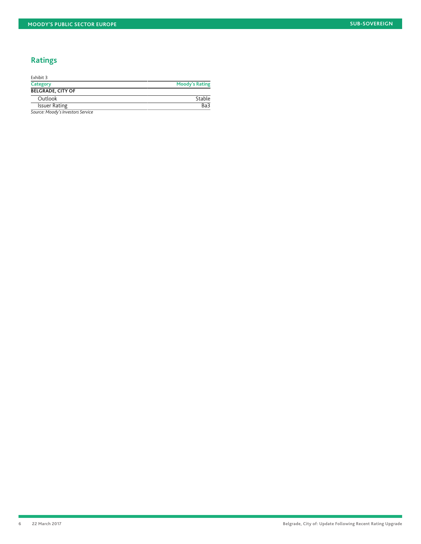# **Ratings**

| Exhibit 3                         |                       |
|-----------------------------------|-----------------------|
| Category                          | <b>Moody's Rating</b> |
| <b>BELGRADE, CITY OF</b>          |                       |
| Outlook                           | Stable                |
| <b>Issuer Rating</b>              | Ba3                   |
| Source: Moody's Investors Service |                       |